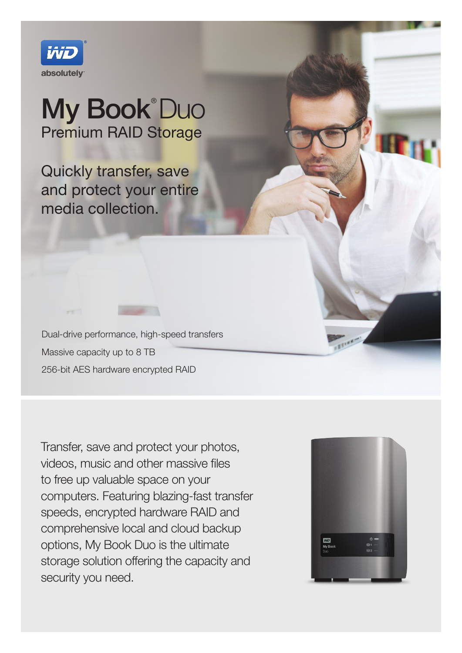

# My Book® Duo Premium RAID Storage

Quickly transfer, save and protect your entire media collection.

Dual-drive performance, high-speed transfers Massive capacity up to 8 TB 256-bit AES hardware encrypted RAID

Transfer, save and protect your photos, videos, music and other massive files to free up valuable space on your computers. Featuring blazing-fast transfer speeds, encrypted hardware RAID and comprehensive local and cloud backup options, My Book Duo is the ultimate storage solution offering the capacity and security you need.